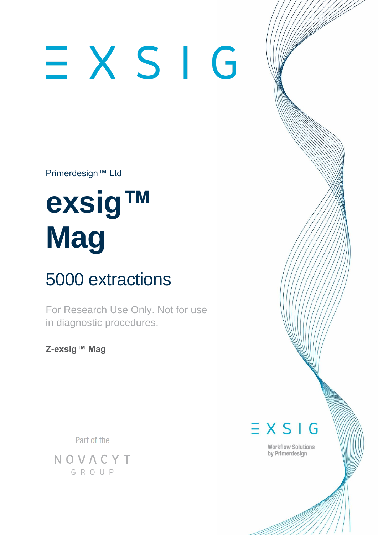# $\equiv$  X S I G

Primerdesign™ Ltd

## **exsig™ Mag**

### 5000 extractions

For Research Use Only. Not for use in diagnostic procedures.

**Z-exsig™ Mag**

Part of the

NOVACYT GROUP

 $\equiv$  X S I G

**Workflow Solutions** by Primerdesign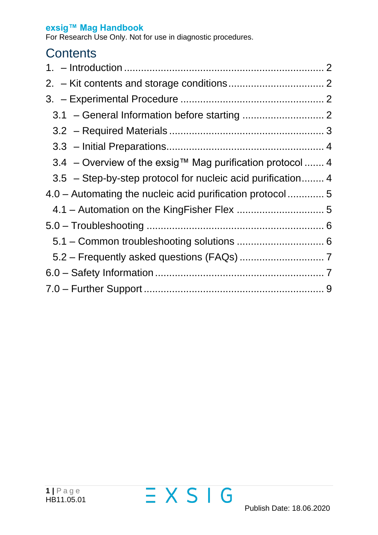For Research Use Only. Not for use in diagnostic procedures.

#### **Contents**

| 3.4 – Overview of the exsig™ Mag purification protocol  4   |  |
|-------------------------------------------------------------|--|
| 3.5 - Step-by-step protocol for nucleic acid purification 4 |  |
| 4.0 – Automating the nucleic acid purification protocol  5  |  |
|                                                             |  |
|                                                             |  |
|                                                             |  |
|                                                             |  |
|                                                             |  |
|                                                             |  |

 $EXSIG$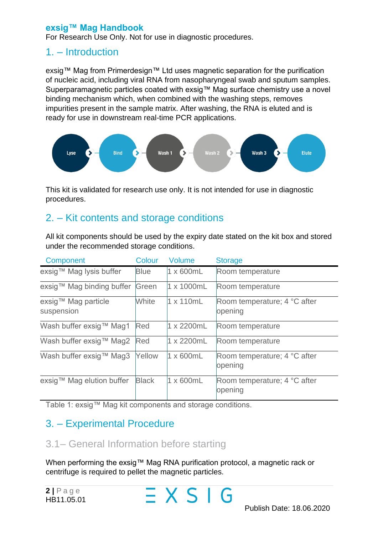For Research Use Only. Not for use in diagnostic procedures.

#### <span id="page-2-0"></span>1. – Introduction

exsig™ Mag from Primerdesign™ Ltd uses magnetic separation for the purification of nucleic acid, including viral RNA from nasopharyngeal swab and sputum samples. Superparamagnetic particles coated with exsig™ Mag surface chemistry use a novel binding mechanism which, when combined with the washing steps, removes impurities present in the sample matrix. After washing, the RNA is eluted and is ready for use in downstream real-time PCR applications.



This kit is validated for research use only. It is not intended for use in diagnostic procedures.

#### <span id="page-2-1"></span>2. – Kit contents and storage conditions

All kit components should be used by the expiry date stated on the kit box and stored under the recommended storage conditions.

| Component                         | <b>Colour</b> | <b>Volume</b>      | <b>Storage</b>                          |
|-----------------------------------|---------------|--------------------|-----------------------------------------|
| exsig™ Mag lysis buffer           | <b>Blue</b>   | $1 \times 600$ mL  | Room temperature                        |
| exsig™ Mag binding buffer Green   |               | $1 \times 1000$ mL | Room temperature                        |
| exsig™ Mag particle<br>suspension | White         | $1 \times 110$ mL  | Room temperature; 4 °C after<br>opening |
| Wash buffer exsig™ Mag1           | Red           | $1 \times 2200$ mL | Room temperature                        |
| Wash buffer exsig™ Mag2           | Red           | $1 \times 2200$ mL | Room temperature                        |
| Wash buffer exsig™ Mag3           | Yellow        | $1 \times 600$ mL  | Room temperature; 4 °C after<br>opening |
| exsig™ Mag elution buffer         | <b>Black</b>  | $1 \times 600$ mL  | Room temperature; 4 °C after<br>opening |

Table 1: exsig™ Mag kit components and storage conditions.

#### <span id="page-2-2"></span>3. – Experimental Procedure

#### <span id="page-2-3"></span>3.1– General Information before starting

When performing the exsig™ Mag RNA purification protocol, a magnetic rack or centrifuge is required to pellet the magnetic particles.

 $=XSIG$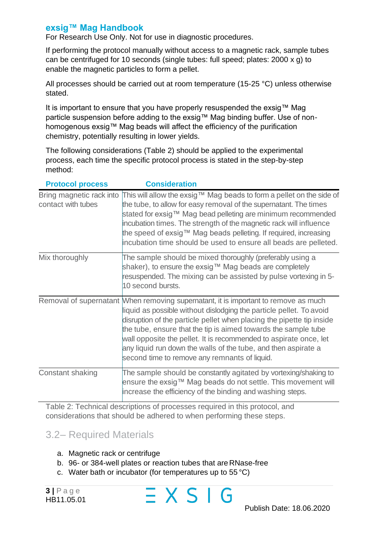For Research Use Only. Not for use in diagnostic procedures.

If performing the protocol manually without access to a magnetic rack, sample tubes can be centrifuged for 10 seconds (single tubes: full speed; plates: 2000 x g) to enable the magnetic particles to form a pellet.

All processes should be carried out at room temperature (15-25 °C) unless otherwise stated.

It is important to ensure that you have properly resuspended the exsig™ Mag particle suspension before adding to the exsig™ Mag binding buffer. Use of nonhomogenous exsig™ Mag beads will affect the efficiency of the purification chemistry, potentially resulting in lower yields.

The following considerations (Table 2) should be applied to the experimental process, each time the specific protocol process is stated in the step-by-step method:

| <b>Protocol process</b>                        | <b>Consideration</b>                                                                                                                                                                                                                                                                                                                                                                                                                                                                          |
|------------------------------------------------|-----------------------------------------------------------------------------------------------------------------------------------------------------------------------------------------------------------------------------------------------------------------------------------------------------------------------------------------------------------------------------------------------------------------------------------------------------------------------------------------------|
| Bring magnetic rack into<br>contact with tubes | This will allow the exsig™ Mag beads to form a pellet on the side of<br>the tube, to allow for easy removal of the supernatant. The times<br>stated for exsig™ Mag bead pelleting are minimum recommended<br>incubation times. The strength of the magnetic rack will influence<br>the speed of exsig™ Mag beads pelleting. If required, increasing<br>incubation time should be used to ensure all beads are pelleted.                                                                       |
| Mix thoroughly                                 | The sample should be mixed thoroughly (preferably using a<br>shaker), to ensure the exsig™ Mag beads are completely<br>resuspended. The mixing can be assisted by pulse vortexing in 5-<br>10 second bursts.                                                                                                                                                                                                                                                                                  |
|                                                | Removal of supernatant When removing supernatant, it is important to remove as much<br>liquid as possible without dislodging the particle pellet. To avoid<br>disruption of the particle pellet when placing the pipette tip inside<br>the tube, ensure that the tip is aimed towards the sample tube<br>wall opposite the pellet. It is recommended to aspirate once, let<br>any liquid run down the walls of the tube, and then aspirate a<br>second time to remove any remnants of liquid. |
| Constant shaking                               | The sample should be constantly agitated by vortexing/shaking to<br>ensure the exsig™ Mag beads do not settle. This movement will<br>increase the efficiency of the binding and washing steps.                                                                                                                                                                                                                                                                                                |

Table 2: Technical descriptions of processes required in this protocol, and considerations that should be adhered to when performing these steps.

#### <span id="page-3-0"></span>3.2– Required Materials

- a. Magnetic rack or centrifuge
- b. 96- or 384-well plates or reaction tubes that are RNase-free

 $\equiv$  X S I G

c. Water bath or incubator (for temperatures up to 55 °C)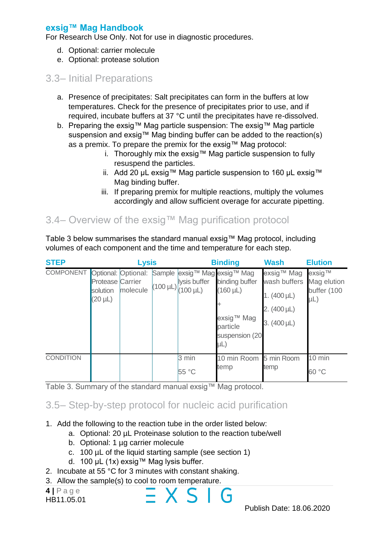For Research Use Only. Not for use in diagnostic procedures.

- d. Optional: carrier molecule
- e. Optional: protease solution

#### <span id="page-4-0"></span>3.3– Initial Preparations

- a. Presence of precipitates: Salt precipitates can form in the buffers at low temperatures. Check for the presence of precipitates prior to use, and if required, incubate buffers at 37 °C until the precipitates have re-dissolved.
- b. Preparing the exsig™ Mag particle suspension: The exsig™ Mag particle suspension and exsig™ Mag binding buffer can be added to the reaction(s) as a premix. To prepare the premix for the exsig™ Mag protocol:
	- i. Thoroughly mix the exsig™ Mag particle suspension to fully resuspend the particles.
	- ii. Add 20 µL exsig™ Mag particle suspension to 160 µL exsig™ Mag binding buffer.
	- iii. If preparing premix for multiple reactions, multiply the volumes accordingly and allow sufficient overage for accurate pipetting.

#### <span id="page-4-1"></span>3.4– Overview of the exsig™ Mag purification protocol

Table 3 below summarises the standard manual exsig™ Mag protocol, including volumes of each component and the time and temperature for each step.

| <b>STEP</b>                          |                                                     | <b>Lysis</b> |                                                              | <b>Binding</b>                                                                                                     | <b>Wash</b>                                                                           | <b>Elution</b>                              |
|--------------------------------------|-----------------------------------------------------|--------------|--------------------------------------------------------------|--------------------------------------------------------------------------------------------------------------------|---------------------------------------------------------------------------------------|---------------------------------------------|
| <b>COMPONENT Optional:</b> Optional: | <b>Protease Carrier</b><br>solution<br>$(20 \mu L)$ | molecule     | lysis buffer<br>$ (100 \mu L) _{(100 \mu L)}^{(100 \mu L)} $ | Sample exsig™ Mag exsig™ Mag<br>binding buffer<br>$(160 \mu L)$<br>exsig™ Mag<br>particle<br>suspension (20<br>μL) | exsig™ Mag<br>wash buffers<br>1. $(400 \,\mu L)$<br>2. (400 µL)<br>3. $(400 \,\mu L)$ | exsig™<br>Mag elution<br>buffer (100<br>μL) |
| <b>CONDITION</b>                     |                                                     |              | 3 min<br>55 °C                                               | 10 min Room 5 min Room<br>temp                                                                                     | temp                                                                                  | 10 min<br>60 °C                             |

Table 3. Summary of the standard manual exsig™ Mag protocol.

#### <span id="page-4-2"></span>3.5– Step-by-step protocol for nucleic acid purification

- 1. Add the following to the reaction tube in the order listed below:
	- a. Optional: 20 µL Proteinase solution to the reaction tube/well

X S I G

- b. Optional: 1 µg carrier molecule
- c. 100 µL of the liquid starting sample (see section 1)
- d. 100 µL (1x) exsig™ Mag lysis buffer.
- 2. Incubate at 55 °C for 3 minutes with constant shaking.
- 3. Allow the sample(s) to cool to room temperature.

**4 |** P a g e HB11.05.01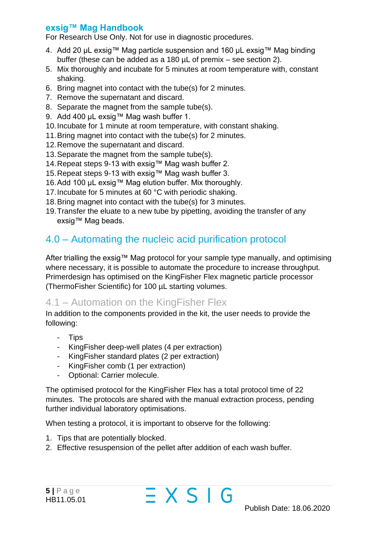For Research Use Only. Not for use in diagnostic procedures.

- 4. Add 20 µL exsig™ Mag particle suspension and 160 µL exsig™ Mag binding buffer (these can be added as a 180 µL of premix – see section 2).
- 5. Mix thoroughly and incubate for 5 minutes at room temperature with, constant shaking.
- 6. Bring magnet into contact with the tube(s) for 2 minutes.
- 7. Remove the supernatant and discard.
- 8. Separate the magnet from the sample tube(s).
- 9. Add 400 µL exsig™ Mag wash buffer 1.
- 10.Incubate for 1 minute at room temperature, with constant shaking.
- 11.Bring magnet into contact with the tube(s) for 2 minutes.
- 12.Remove the supernatant and discard.
- 13.Separate the magnet from the sample tube(s).
- 14.Repeat steps 9-13 with exsig™ Mag wash buffer 2.
- 15.Repeat steps 9-13 with exsig™ Mag wash buffer 3.
- 16.Add 100 µL exsig™ Mag elution buffer. Mix thoroughly.
- 17.Incubate for 5 minutes at 60 °C with periodic shaking.
- 18.Bring magnet into contact with the tube(s) for 3 minutes.
- 19.Transfer the eluate to a new tube by pipetting, avoiding the transfer of any exsig™ Mag beads.

#### <span id="page-5-0"></span>4.0 – Automating the nucleic acid purification protocol

After trialling the exsig™ Mag protocol for your sample type manually, and optimising where necessary, it is possible to automate the procedure to increase throughput. Primerdesign has optimised on the KingFisher Flex magnetic particle processor (ThermoFisher Scientific) for 100 µL starting volumes.

#### <span id="page-5-1"></span>4.1 – Automation on the KingFisher Flex

In addition to the components provided in the kit, the user needs to provide the following:

- Tips
- KingFisher deep-well plates (4 per extraction)
- KingFisher standard plates (2 per extraction)
- KingFisher comb (1 per extraction)
- Optional: Carrier molecule.

The optimised protocol for the KingFisher Flex has a total protocol time of 22 minutes. The protocols are shared with the manual extraction process, pending further individual laboratory optimisations.

 $\equiv$  X S I G

When testing a protocol, it is important to observe for the following:

- 1. Tips that are potentially blocked.
- 2. Effective resuspension of the pellet after addition of each wash buffer.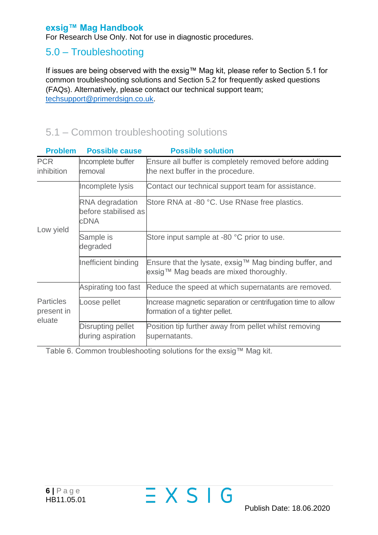For Research Use Only. Not for use in diagnostic procedures.

#### <span id="page-6-0"></span>5.0 – Troubleshooting

If issues are being observed with the exsig™ Mag kit, please refer to Section 5.1 for common troubleshooting solutions and Section 5.2 for frequently asked questions (FAQs). Alternatively, please contact our technical support team; [techsupport@primerdsign.co.uk.](mailto:techsupport@primerdsign.co.uk)

#### <span id="page-6-1"></span>5.1 – Common troubleshooting solutions

| <b>Problem</b>                           | <b>Possible cause</b>                           | <b>Possible solution</b>                                                                         |
|------------------------------------------|-------------------------------------------------|--------------------------------------------------------------------------------------------------|
| <b>PCR</b><br>inhibition                 | Incomplete buffer<br>removal                    | Ensure all buffer is completely removed before adding<br>the next buffer in the procedure.       |
|                                          | Incomplete lysis                                | Contact our technical support team for assistance.                                               |
| Low yield                                | RNA degradation<br>before stabilised as<br>cDNA | Store RNA at -80 °C. Use RNase free plastics.                                                    |
|                                          | Sample is<br>degraded                           | Store input sample at -80 °C prior to use.                                                       |
|                                          | Inefficient binding                             | Ensure that the lysate, exsig™ Mag binding buffer, and<br>exsig™ Mag beads are mixed thoroughly. |
|                                          | Aspirating too fast                             | Reduce the speed at which supernatants are removed.                                              |
| <b>Particles</b><br>present in<br>eluate | Loose pellet                                    | Increase magnetic separation or centrifugation time to allow<br>formation of a tighter pellet.   |
|                                          | Disrupting pellet<br>during aspiration          | Position tip further away from pellet whilst removing<br>supernatants.                           |

 $\equiv$  X S I G

<span id="page-6-2"></span>Table 6. Common troubleshooting solutions for the exsig™ Mag kit.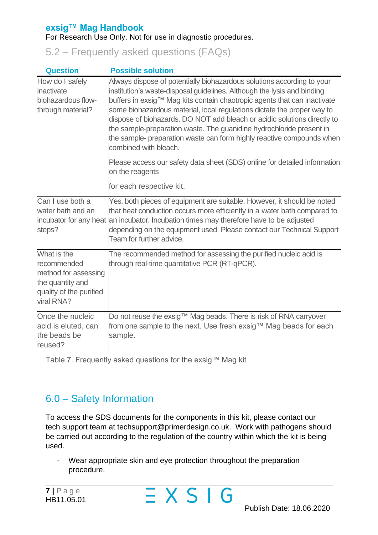#### For Research Use Only. Not for use in diagnostic procedures.

5.2 – Frequently asked questions (FAQs)

| <b>Question</b>                                                                                                 | <b>Possible solution</b>                                                                                                                                                                                                                                                                                                                                                                                                                                                                                                                                       |
|-----------------------------------------------------------------------------------------------------------------|----------------------------------------------------------------------------------------------------------------------------------------------------------------------------------------------------------------------------------------------------------------------------------------------------------------------------------------------------------------------------------------------------------------------------------------------------------------------------------------------------------------------------------------------------------------|
| How do I safely<br>inactivate<br>biohazardous flow-<br>through material?                                        | Always dispose of potentially biohazardous solutions according to your<br>institution's waste-disposal guidelines. Although the lysis and binding<br>buffers in exsig™ Mag kits contain chaotropic agents that can inactivate<br>some biohazardous material, local regulations dictate the proper way to<br>dispose of biohazards. DO NOT add bleach or acidic solutions directly to<br>the sample-preparation waste. The guanidine hydrochloride present in<br>the sample- preparation waste can form highly reactive compounds when<br>combined with bleach. |
|                                                                                                                 | Please access our safety data sheet (SDS) online for detailed information<br>on the reagents                                                                                                                                                                                                                                                                                                                                                                                                                                                                   |
|                                                                                                                 | for each respective kit.                                                                                                                                                                                                                                                                                                                                                                                                                                                                                                                                       |
| Can I use both a<br>water bath and an<br>incubator for any heat<br>steps?                                       | Yes, both pieces of equipment are suitable. However, it should be noted<br>that heat conduction occurs more efficiently in a water bath compared to<br>an incubator. Incubation times may therefore have to be adjusted<br>depending on the equipment used. Please contact our Technical Support<br>Team for further advice.                                                                                                                                                                                                                                   |
| What is the<br>recommended<br>method for assessing<br>the quantity and<br>quality of the purified<br>viral RNA? | The recommended method for assessing the purified nucleic acid is<br>through real-time quantitative PCR (RT-qPCR).                                                                                                                                                                                                                                                                                                                                                                                                                                             |
| Once the nucleic<br>acid is eluted, can<br>the beads be<br>reused?                                              | Do not reuse the exsig™ Mag beads. There is risk of RNA carryover<br>from one sample to the next. Use fresh exsig™ Mag beads for each<br>sample.                                                                                                                                                                                                                                                                                                                                                                                                               |

Table 7. Frequently asked questions for the exsig™ Mag kit

#### 6.0 – Safety Information

To access the SDS documents for the components in this kit, please contact our tech support team at techsupport@primerdesign.co.uk. Work with pathogens should be carried out according to the regulation of the country within which the kit is being used.

<span id="page-7-0"></span> $\equiv$  X S I G

- Wear appropriate skin and eye protection throughout the preparation procedure.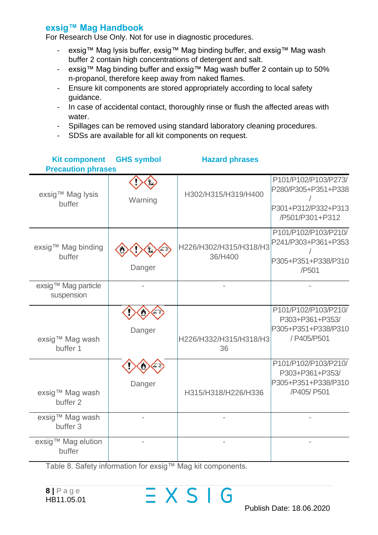For Research Use Only. Not for use in diagnostic procedures.

- exsig™ Mag lysis buffer, exsig™ Mag binding buffer, and exsig™ Mag wash buffer 2 contain high concentrations of detergent and salt.
- exsig™ Mag binding buffer and exsig™ Mag wash buffer 2 contain up to 50% n-propanol, therefore keep away from naked flames.
- Ensure kit components are stored appropriately according to local safety guidance.
- In case of accidental contact, thoroughly rinse or flush the affected areas with water.
- Spillages can be removed using standard laboratory cleaning procedures.
- SDSs are available for all kit components on request.

| <b>Kit component</b><br><b>Precaution phrases</b> | <b>GHS symbol</b> | <b>Hazard phrases</b>             |                                                                                       |
|---------------------------------------------------|-------------------|-----------------------------------|---------------------------------------------------------------------------------------|
| exsig™ Mag lysis<br>buffer                        | Warning           | H302/H315/H319/H400               | P101/P102/P103/P273/<br>P280/P305+P351+P338<br>P301+P312/P332+P313<br>/P501/P301+P312 |
| exsig™ Mag binding<br>buffer                      | Danger            | H226/H302/H315/H318/H3<br>36/H400 | P101/P102/P103/P210/<br>P241/P303+P361+P353<br>P305+P351+P338/P310<br>/P501           |
| exsig™ Mag particle<br>suspension                 |                   |                                   |                                                                                       |
| exsig™ Mag wash<br>buffer 1                       | Danger            | H226/H332/H315/H318/H3<br>36      | P101/P102/P103/P210/<br>P303+P361+P353/<br>P305+P351+P338/P310<br>/ P405/P501         |
| exsig™ Mag wash<br>buffer 2                       | Danger            | H315/H318/H226/H336               | P101/P102/P103/P210/<br>P303+P361+P353/<br>P305+P351+P338/P310<br>/P405/ P501         |
| exsig™ Mag wash<br>buffer 3                       |                   |                                   |                                                                                       |
| exsig™ Mag elution<br>buffer                      |                   |                                   |                                                                                       |

<span id="page-8-0"></span> $\equiv$  X S I G

Table 8. Safety information for exsig™ Mag kit components.

**8 |** P a g e HB11.05.01